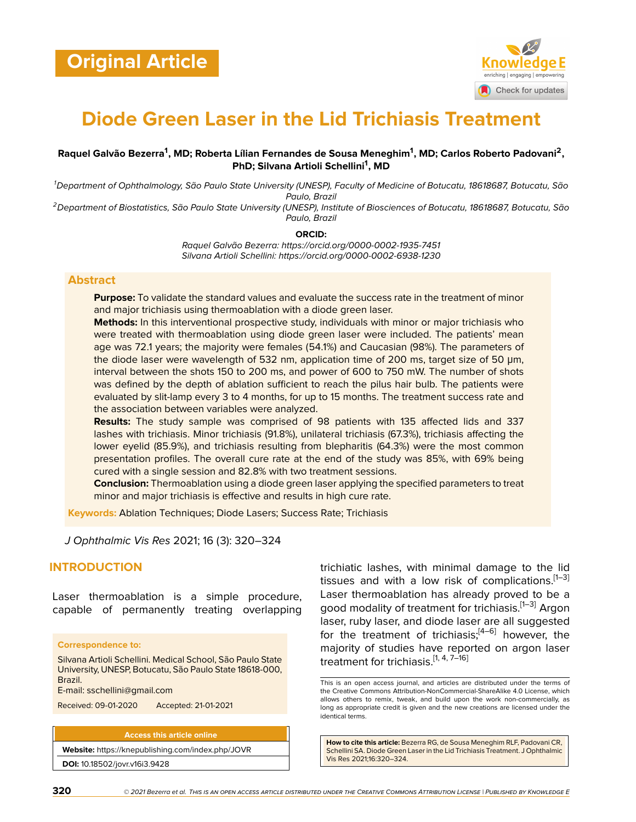

# **Diode Green Laser in the Lid Trichiasis Treatment**

## **Raquel Galvão Bezerra<sup>1</sup> , MD; Roberta Lílian Fernandes de Sousa Meneghim<sup>1</sup> , MD; Carlos Roberto Padovani<sup>2</sup> , PhD; Silvana Artioli Schellini<sup>1</sup> , MD**

*<sup>1</sup>Department of Ophthalmology, São Paulo State University (UNESP), Faculty of Medicine of Botucatu, 18618687, Botucatu, São Paulo, Brazil*

*<sup>2</sup>Department of Biostatistics, São Paulo State University (UNESP), Institute of Biosciences of Botucatu, 18618687, Botucatu, São Paulo, Brazil*

**ORCID:**

*Raquel Galvão Bezerra: https://orcid.org/0000-0002-1935-7451 Silvana Artioli Schellini: https://orcid.org/0000-0002-6938-1230*

## **Abstract**

**Purpose:** To validate the standard values and evaluate the success rate in the treatment of minor and major trichiasis using thermoablation with a diode green laser.

**Methods:** In this interventional prospective study, individuals with minor or major trichiasis who were treated with thermoablation using diode green laser were included. The patients' mean age was 72.1 years; the majority were females (54.1%) and Caucasian (98%). The parameters of the diode laser were wavelength of 532 nm, application time of 200 ms, target size of 50 μm, interval between the shots 150 to 200 ms, and power of 600 to 750 mW. The number of shots was defined by the depth of ablation sufficient to reach the pilus hair bulb. The patients were evaluated by slit-lamp every 3 to 4 months, for up to 15 months. The treatment success rate and the association between variables were analyzed.

**Results:** The study sample was comprised of 98 patients with 135 affected lids and 337 lashes with trichiasis. Minor trichiasis (91.8%), unilateral trichiasis (67.3%), trichiasis affecting the lower eyelid (85.9%), and trichiasis resulting from blepharitis (64.3%) were the most common presentation profiles. The overall cure rate at the end of the study was 85%, with 69% being cured with a single session and 82.8% with two treatment sessions.

**Conclusion:** Thermoablation using a diode green laser applying the specified parameters to treat minor and major trichiasis is effective and results in high cure rate.

**Keywords:** Ablation Techniques; Diode Lasers; Success Rate; Trichiasis

*J Ophthalmic Vis Res* 2021; 16 (3): 320–324

# **INTRODUCTION**

Laser thermoablation is a simple procedure, capable of permanently treating overlapping

#### **Correspondence to:**

Silvana Artioli Schellini. Medical School, São Paulo State University, UNESP, Botucatu, São Paulo State 18618-000, Brazil.

E-mail: sschellini@gmail.com

Received: 09-01-2020 Accepted: 21-01-2021

**Access this article online Website:** <https://knepublishing.com/index.php/JOVR> **DOI:** 10.18502/jovr.v16i3.9428

trichiatic lashes, with minimal damage to the lid tissues and with a low risk of complications. $[1-3]$  $[1-3]$  $[1-3]$ Laser thermoablation has already proved to be a good modality of treatment for trichiasis.<sup>[[1](#page-4-0)–[3](#page-4-1)]</sup> Argon laser, ruby laser, and diode laser are all suggested for the treatment of trichiasis; $[4-6]$  $[4-6]$  $[4-6]$  however, the majority of studies have reported on argon laser treatment for trichiasis.<sup>[\[1,](#page-4-0) [4,](#page-4-2) [7](#page-4-4)–[16](#page-4-5)]</sup>

**How to cite this article:** Bezerra RG, de Sousa Meneghim RLF, Padovani CR, Schellini SA. Diode Green Laser in the Lid Trichiasis Treatment. J Ophthalmic Vis Res 2021;16:320–324.

This is an open access journal, and articles are distributed under the terms of the Creative Commons Attribution-NonCommercial-ShareAlike 4.0 License, which allows others to remix, tweak, and build upon the work non-commercially, as long as appropriate credit is given and the new creations are licensed under the identical terms.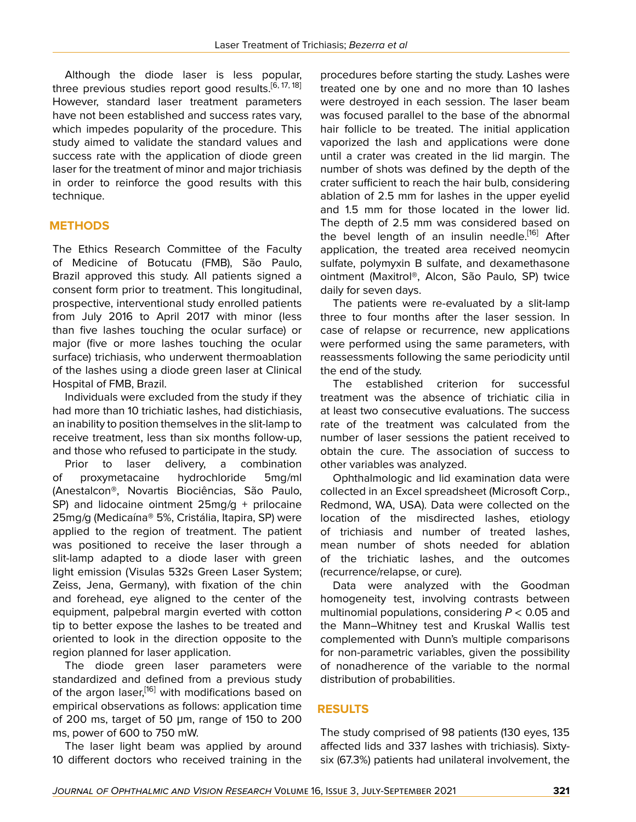Although the diode laser is less popular, three previous studies report good results.<sup>[[6](#page-4-3), [17,](#page-4-6) [18](#page-4-7)]</sup> However, standard laser treatment parameters have not been established and success rates vary, which impedes popularity of the procedure. This study aimed to validate the standard values and success rate with the application of diode green laser for the treatment of minor and major trichiasis in order to reinforce the good results with this technique.

# **METHODS**

The Ethics Research Committee of the Faculty of Medicine of Botucatu (FMB), São Paulo, Brazil approved this study. All patients signed a consent form prior to treatment. This longitudinal, prospective, interventional study enrolled patients from July 2016 to April 2017 with minor (less than five lashes touching the ocular surface) or major (five or more lashes touching the ocular surface) trichiasis, who underwent thermoablation of the lashes using a diode green laser at Clinical Hospital of FMB, Brazil.

Individuals were excluded from the study if they had more than 10 trichiatic lashes, had distichiasis, an inability to position themselves in the slit-lamp to receive treatment, less than six months follow-up, and those who refused to participate in the study.

Prior to laser delivery, a combination of proxymetacaine hydrochloride 5mg/ml (Anestalcon®, Novartis Biociências, São Paulo, SP) and lidocaine ointment 25mg/g + prilocaine 25mg/g (Medicaína® 5%, Cristália, Itapira, SP) were applied to the region of treatment. The patient was positioned to receive the laser through a slit-lamp adapted to a diode laser with green light emission (Visulas 532s Green Laser System; Zeiss, Jena, Germany), with fixation of the chin and forehead, eye aligned to the center of the equipment, palpebral margin everted with cotton tip to better expose the lashes to be treated and oriented to look in the direction opposite to the region planned for laser application.

The diode green laser parameters were standardized and defined from a previous study of the argon laser,<sup>[[16](#page-4-5)]</sup> with modifications based on empirical observations as follows: application time of 200 ms, target of 50 μm, range of 150 to 200 ms, power of 600 to 750 mW.

The laser light beam was applied by around 10 different doctors who received training in the

procedures before starting the study. Lashes were treated one by one and no more than 10 lashes were destroyed in each session. The laser beam was focused parallel to the base of the abnormal hair follicle to be treated. The initial application vaporized the lash and applications were done until a crater was created in the lid margin. The number of shots was defined by the depth of the crater sufficient to reach the hair bulb, considering ablation of 2.5 mm for lashes in the upper eyelid and 1.5 mm for those located in the lower lid. The depth of 2.5 mm was considered based on the bevel length of an insulin needle.<sup>[\[16\]](#page-4-5)</sup> After application, the treated area received neomycin sulfate, polymyxin B sulfate, and dexamethasone ointment (Maxitrol®, Alcon, São Paulo, SP) twice daily for seven days.

The patients were re-evaluated by a slit-lamp three to four months after the laser session. In case of relapse or recurrence, new applications were performed using the same parameters, with reassessments following the same periodicity until the end of the study.

The established criterion for successful treatment was the absence of trichiatic cilia in at least two consecutive evaluations. The success rate of the treatment was calculated from the number of laser sessions the patient received to obtain the cure. The association of success to other variables was analyzed.

Ophthalmologic and lid examination data were collected in an Excel spreadsheet (Microsoft Corp., Redmond, WA, USA). Data were collected on the location of the misdirected lashes, etiology of trichiasis and number of treated lashes, mean number of shots needed for ablation of the trichiatic lashes, and the outcomes (recurrence/relapse, or cure).

Data were analyzed with the Goodman homogeneity test, involving contrasts between multinomial populations, considering *P* < 0.05 and the Mann–Whitney test and Kruskal Wallis test complemented with Dunn's multiple comparisons for non-parametric variables, given the possibility of nonadherence of the variable to the normal distribution of probabilities.

# **RESULTS**

The study comprised of 98 patients (130 eyes, 135 affected lids and 337 lashes with trichiasis). Sixtysix (67.3%) patients had unilateral involvement, the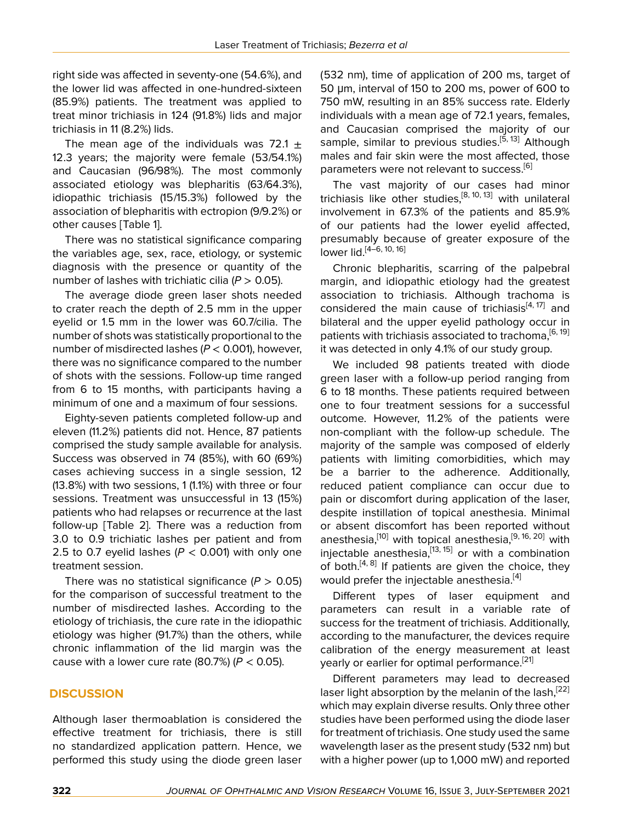right side was affected in seventy-one (54.6%), and the lower lid was affected in one-hundred-sixteen (85.9%) patients. The treatment was applied to treat minor trichiasis in 124 (91.8%) lids and major trichiasis in 11 (8.2%) lids.

The mean age of the individuals was 72.1  $\pm$ 12.3 years; the majority were female (53/54.1%) and Caucasian (96/98%). The most commonly associated etiology was blepharitis (63/64.3%), idiopathic trichiasis (15/15.3%) followed by the association of blepharitis with ectropion (9/9.2%) or other causes [Table 1].

There was no statistical significance comparing the variables age, sex, race, etiology, or systemic diagnosis with the presence or quantity of the number of lashes with trichiatic cilia  $(P > 0.05)$ .

The average diode green laser shots needed to crater reach the depth of 2.5 mm in the upper eyelid or 1.5 mm in the lower was 60.7/cilia. The number of shots was statistically proportional to the number of misdirected lashes (*P* < 0.001), however, there was no significance compared to the number of shots with the sessions. Follow-up time ranged from 6 to 15 months, with participants having a minimum of one and a maximum of four sessions.

Eighty-seven patients completed follow-up and eleven (11.2%) patients did not. Hence, 87 patients comprised the study sample available for analysis. Success was observed in 74 (85%), with 60 (69%) cases achieving success in a single session, 12 (13.8%) with two sessions, 1 (1.1%) with three or four sessions. Treatment was unsuccessful in 13 (15%) patients who had relapses or recurrence at the last follow-up [Table 2]. There was a reduction from 3.0 to 0.9 trichiatic lashes per patient and from 2.5 to 0.7 eyelid lashes ( $P < 0.001$ ) with only one treatment session.

There was no statistical significance  $(P > 0.05)$ for the comparison of successful treatment to the number of misdirected lashes. According to the etiology of trichiasis, the cure rate in the idiopathic etiology was higher (91.7%) than the others, while chronic inflammation of the lid margin was the cause with a lower cure rate (80.7%) (*P* < 0.05).

# **DISCUSSION**

Although laser thermoablation is considered the effective treatment for trichiasis, there is still no standardized application pattern. Hence, we performed this study using the diode green laser (532 nm), time of application of 200 ms, target of 50 μm, interval of 150 to 200 ms, power of 600 to 750 mW, resulting in an 85% success rate. Elderly individuals with a mean age of 72.1 years, females, and Caucasian comprised the majority of our sample, similar to previous studies.<sup>[\[5,](#page-4-8) [13](#page-4-9)]</sup> Although males and fair skin were the most affected, those parameters were not relevant to success.<sup>[\[6\]](#page-4-3)</sup>

The vast majority of our cases had minor trichiasis like other studies, $[8, 10, 13]$  $[8, 10, 13]$  $[8, 10, 13]$  $[8, 10, 13]$  $[8, 10, 13]$  $[8, 10, 13]$  with unilateral involvement in 67.3% of the patients and 85.9% of our patients had the lower eyelid affected, presumably because of greater exposure of the lower lid.[\[4–](#page-4-2)[6,](#page-4-3) [10,](#page-4-11) [16\]](#page-4-5)

Chronic blepharitis, scarring of the palpebral margin, and idiopathic etiology had the greatest association to trichiasis. Although trachoma is considered the main cause of trichiasis<sup>[\[4,](#page-4-2)[17\]](#page-4-6)</sup> and bilateral and the upper eyelid pathology occur in patients with trichiasis associated to trachoma,<sup>[[6](#page-4-3), [19](#page-4-12)]</sup> it was detected in only 4.1% of our study group.

We included 98 patients treated with diode green laser with a follow-up period ranging from 6 to 18 months. These patients required between one to four treatment sessions for a successful outcome. However, 11.2% of the patients were non-compliant with the follow-up schedule. The majority of the sample was composed of elderly patients with limiting comorbidities, which may be a barrier to the adherence. Additionally, reduced patient compliance can occur due to pain or discomfort during application of the laser, despite instillation of topical anesthesia. Minimal or absent discomfort has been reported without anesthesia,<sup>[[10](#page-4-11)]</sup> with topical anesthesia,<sup>[\[9,](#page-4-13) [16,](#page-4-5) [20\]](#page-4-14)</sup> with injectable anesthesia, $^{[13, 15]}$  $^{[13, 15]}$  $^{[13, 15]}$  $^{[13, 15]}$  $^{[13, 15]}$  or with a combination of both.<sup>[\[4,](#page-4-2) [8\]](#page-4-10)</sup> If patients are given the choice, they would prefer the injectable anesthesia.<sup>[[4](#page-4-2)]</sup>

Different types of laser equipment and parameters can result in a variable rate of success for the treatment of trichiasis. Additionally, according to the manufacturer, the devices require calibration of the energy measurement at least yearly or earlier for optimal performance.<sup>[[21\]](#page-4-16)</sup>

Different parameters may lead to decreased laser light absorption by the melanin of the lash,  $[22]$  $[22]$ which may explain diverse results. Only three other studies have been performed using the diode laser for treatment of trichiasis. One study used the same wavelength laser as the present study (532 nm) but with a higher power (up to 1,000 mW) and reported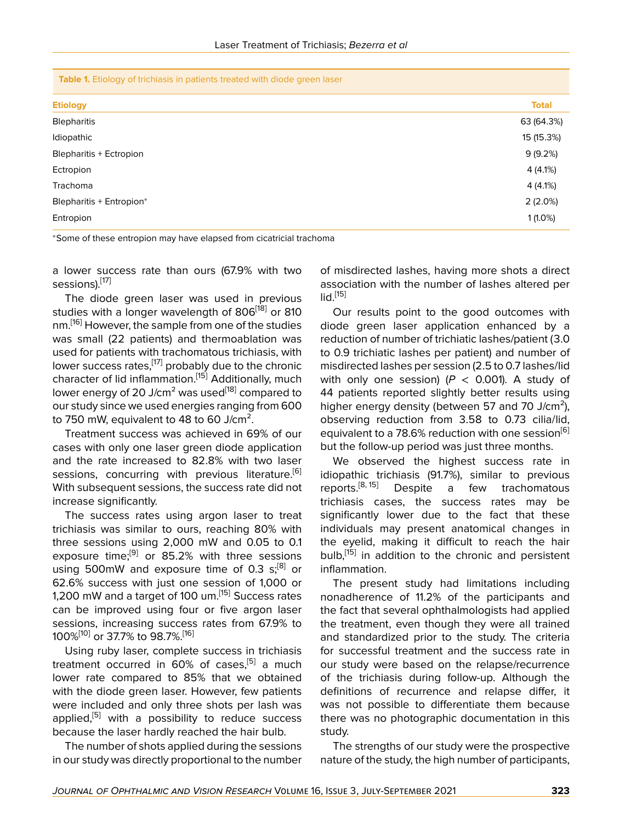| <b>Table 1.</b> Etiology of trichiasis in patients treated with diode green laser |  |  |
|-----------------------------------------------------------------------------------|--|--|
|-----------------------------------------------------------------------------------|--|--|

| <b>Etiology</b>                | <b>Total</b> |
|--------------------------------|--------------|
| <b>Blepharitis</b>             | 63 (64.3%)   |
| Idiopathic                     | 15 (15.3%)   |
| <b>Blepharitis + Ectropion</b> | 9(9.2%)      |
| Ectropion                      | 4(4.1%)      |
| Trachoma                       | 4(4.1%)      |
| Blepharitis + Entropion*       | $2(2.0\%)$   |
| Entropion                      | $1(1.0\%)$   |

<sup>∗</sup>Some of these entropion may have elapsed from cicatricial trachoma

a lower success rate than ours (67.9% with two sessions).<sup>[\[17](#page-4-6)]</sup>

The diode green laser was used in previous studies with a longer wavelength of 806<sup>[[18\]](#page-4-7)</sup> or 810 nm.<sup>[[16](#page-4-5)]</sup> However, the sample from one of the studies was small (22 patients) and thermoablation was used for patients with trachomatous trichiasis, with lower success rates,<sup>[[17](#page-4-6)]</sup> probably due to the chronic character of lid inflammation.<sup>[[15\]](#page-4-15)</sup> Additionally, much lower energy of 20 J/cm<sup>2</sup> was used<sup>[[18\]](#page-4-7)</sup> compared to our study since we used energies ranging from 600 to 750 mW, equivalent to 48 to 60 J/cm<sup>2</sup>.

Treatment success was achieved in 69% of our cases with only one laser green diode application and the rate increased to 82.8% with two laser sessions, concurring with previous literature.<sup>[[6](#page-4-3)]</sup> With subsequent sessions, the success rate did not increase significantly.

The success rates using argon laser to treat trichiasis was similar to ours, reaching 80% with three sessions using 2,000 mW and 0.05 to 0.1 exposure time;<sup>[[9](#page-4-13)]</sup> or 85.2% with three sessions using 500mW and exposure time of 0.3  $s_i^{[8]}$  $s_i^{[8]}$  $s_i^{[8]}$  or 62.6% success with just one session of 1,000 or 1,200 mW and a target of 100 um.<sup>[[15\]](#page-4-15)</sup> Success rates can be improved using four or five argon laser sessions, increasing success rates from 67.9% to 100%[[10\]](#page-4-11) or 37.7% to 98.7%.[[16\]](#page-4-5)

Using ruby laser, complete success in trichiasis treatment occurred in 60% of cases,<sup>[[5](#page-4-8)]</sup> a much lower rate compared to 85% that we obtained with the diode green laser. However, few patients were included and only three shots per lash was applied,<sup>[[5](#page-4-8)]</sup> with a possibility to reduce success because the laser hardly reached the hair bulb.

The number of shots applied during the sessions in our study was directly proportional to the number

of misdirected lashes, having more shots a direct association with the number of lashes altered per  $\mathsf{lid}^{[15]}$  $\mathsf{lid}^{[15]}$  $\mathsf{lid}^{[15]}$ 

Our results point to the good outcomes with diode green laser application enhanced by a reduction of number of trichiatic lashes/patient (3.0 to 0.9 trichiatic lashes per patient) and number of misdirected lashes per session (2.5 to 0.7 lashes/lid with only one session)  $(P < 0.001)$ . A study of 44 patients reported slightly better results using higher energy density (between 57 and 70 J/cm<sup>2</sup>), observing reduction from 3.58 to 0.73 cilia/lid, equivalent to a 78.[6](#page-4-3)% reduction with one session<sup>[6]</sup> but the follow-up period was just three months.

We observed the highest success rate in idiopathic trichiasis (91.7%), similar to previous reports.<sup>[8, 15]</sup> Despite a few trachomatous Despite a few trachomatous trichiasis cases, the success rates may be significantly lower due to the fact that these individuals may present anatomical changes in the eyelid, making it difficult to reach the hair bulb,<sup>[[15](#page-4-15)]</sup> in addition to the chronic and persistent inflammation.

The present study had limitations including nonadherence of 11.2% of the participants and the fact that several ophthalmologists had applied the treatment, even though they were all trained and standardized prior to the study. The criteria for successful treatment and the success rate in our study were based on the relapse/recurrence of the trichiasis during follow-up. Although the definitions of recurrence and relapse differ, it was not possible to differentiate them because there was no photographic documentation in this study.

The strengths of our study were the prospective nature of the study, the high number of participants,